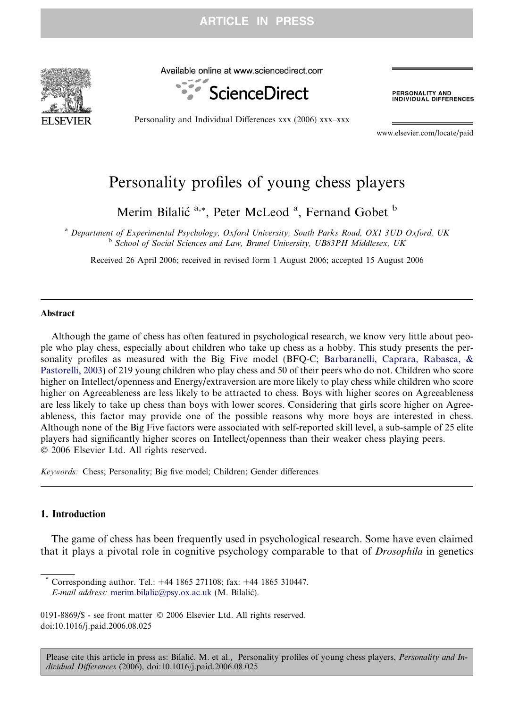

Available online at www.sciencedirect.com



Personality and Individual Differences xxx (2006) xxx–xxx

**PERSONALITY AND<br>INDIVIDUAL DIFFERENCES** 

www.elsevier.com/locate/paid

# Personality profiles of young chess players

Merim Bilalić<sup>a,\*</sup>, Peter McLeod<sup>a</sup>, Fernand Gobet b

<sup>a</sup> Department of Experimental Psychology, Oxford University, South Parks Road, OX1 3UD Oxford, UK<br>b School of Social Sciences and Law, Brunel University, UB83PH Middlesex, UK

Received 26 April 2006; received in revised form 1 August 2006; accepted 15 August 2006

#### Abstract

Although the game of chess has often featured in psychological research, we know very little about people who play chess, especially about children who take up chess as a hobby. This study presents the per-sonality profiles as measured with the Big Five model (BFQ-C; [Barbaranelli, Caprara, Rabasca, &](#page-9-0) [Pastorelli, 2003\)](#page-9-0) of 219 young children who play chess and 50 of their peers who do not. Children who score higher on Intellect/openness and Energy/extraversion are more likely to play chess while children who score higher on Agreeableness are less likely to be attracted to chess. Boys with higher scores on Agreeableness are less likely to take up chess than boys with lower scores. Considering that girls score higher on Agreeableness, this factor may provide one of the possible reasons why more boys are interested in chess. Although none of the Big Five factors were associated with self-reported skill level, a sub-sample of 25 elite players had significantly higher scores on Intellect/openness than their weaker chess playing peers. © 2006 Elsevier Ltd. All rights reserved.

Keywords: Chess; Personality; Big five model; Children; Gender differences

### 1. Introduction

The game of chess has been frequently used in psychological research. Some have even claimed that it plays a pivotal role in cognitive psychology comparable to that of *Drosophila* in genetics

Corresponding author. Tel.: +44 1865 271108; fax: +44 1865 310447.  $E$ -mail address: [merim.bilalic@psy.ox.ac.uk](mailto:merim.bilalic@psy.ox.ac.uk) (M. Bilalić).

<sup>0191-8869/\$ -</sup> see front matter © 2006 Elsevier Ltd. All rights reserved. doi:10.1016/j.paid.2006.08.025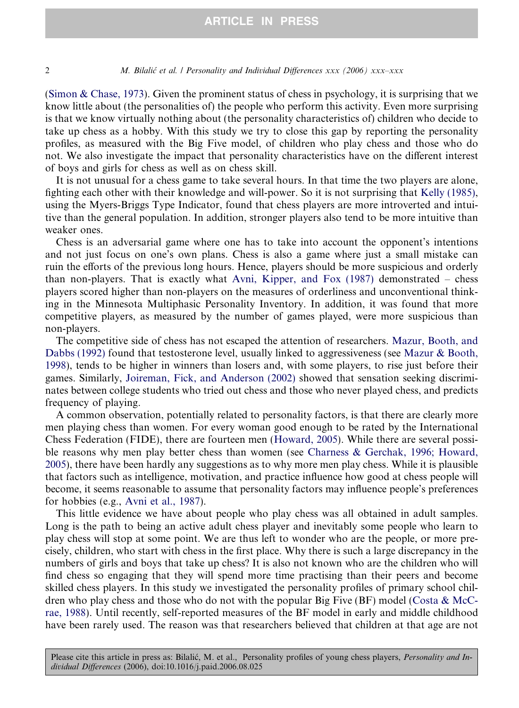#### 2 M. Bilalic´ et al. / Personality and Individual Differences xxx (2006) xxx–xxx

[\(Simon & Chase, 1973](#page-9-0)). Given the prominent status of chess in psychology, it is surprising that we know little about (the personalities of) the people who perform this activity. Even more surprising is that we know virtually nothing about (the personality characteristics of) children who decide to take up chess as a hobby. With this study we try to close this gap by reporting the personality profiles, as measured with the Big Five model, of children who play chess and those who do not. We also investigate the impact that personality characteristics have on the different interest of boys and girls for chess as well as on chess skill.

It is not unusual for a chess game to take several hours. In that time the two players are alone, fighting each other with their knowledge and will-power. So it is not surprising that [Kelly \(1985\),](#page-9-0) using the Myers-Briggs Type Indicator, found that chess players are more introverted and intuitive than the general population. In addition, stronger players also tend to be more intuitive than weaker ones.

Chess is an adversarial game where one has to take into account the opponent's intentions and not just focus on one's own plans. Chess is also a game where just a small mistake can ruin the efforts of the previous long hours. Hence, players should be more suspicious and orderly than non-players. That is exactly what [Avni, Kipper, and Fox \(1987\)](#page-9-0) demonstrated – chess players scored higher than non-players on the measures of orderliness and unconventional thinking in the Minnesota Multiphasic Personality Inventory. In addition, it was found that more competitive players, as measured by the number of games played, were more suspicious than non-players.

The competitive side of chess has not escaped the attention of researchers. [Mazur, Booth, and](#page-9-0) [Dabbs \(1992\)](#page-9-0) found that testosterone level, usually linked to aggressiveness (see [Mazur & Booth,](#page-9-0) [1998](#page-9-0)), tends to be higher in winners than losers and, with some players, to rise just before their games. Similarly, [Joireman, Fick, and Anderson \(2002\)](#page-9-0) showed that sensation seeking discriminates between college students who tried out chess and those who never played chess, and predicts frequency of playing.

A common observation, potentially related to personality factors, is that there are clearly more men playing chess than women. For every woman good enough to be rated by the International Chess Federation (FIDE), there are fourteen men [\(Howard, 2005](#page-9-0)). While there are several possible reasons why men play better chess than women (see [Charness & Gerchak, 1996; Howard,](#page-9-0) [2005](#page-9-0)), there have been hardly any suggestions as to why more men play chess. While it is plausible that factors such as intelligence, motivation, and practice influence how good at chess people will become, it seems reasonable to assume that personality factors may influence people's preferences for hobbies (e.g., [Avni et al., 1987\)](#page-9-0).

This little evidence we have about people who play chess was all obtained in adult samples. Long is the path to being an active adult chess player and inevitably some people who learn to play chess will stop at some point. We are thus left to wonder who are the people, or more precisely, children, who start with chess in the first place. Why there is such a large discrepancy in the numbers of girls and boys that take up chess? It is also not known who are the children who will find chess so engaging that they will spend more time practising than their peers and become skilled chess players. In this study we investigated the personality profiles of primary school children who play chess and those who do not with the popular Big Five (BF) model ([Costa & McC](#page-9-0)[rae, 1988](#page-9-0)). Until recently, self-reported measures of the BF model in early and middle childhood have been rarely used. The reason was that researchers believed that children at that age are not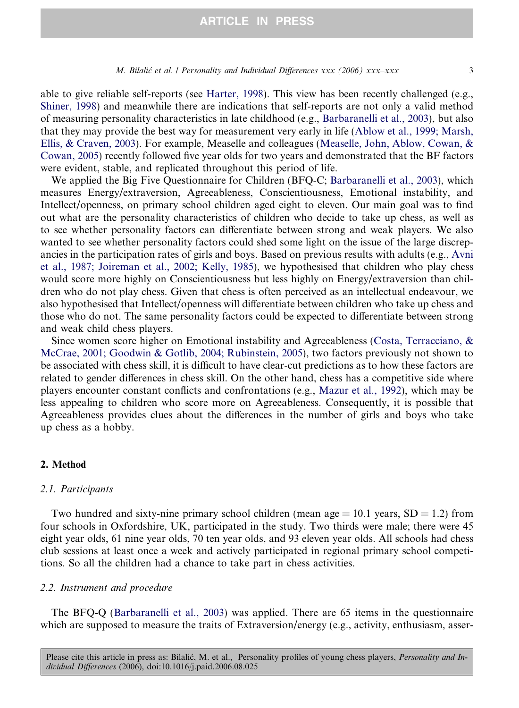able to give reliable self-reports (see [Harter, 1998](#page-9-0)). This view has been recently challenged (e.g., [Shiner, 1998](#page-9-0)) and meanwhile there are indications that self-reports are not only a valid method of measuring personality characteristics in late childhood (e.g., [Barbaranelli et al., 2003\)](#page-9-0), but also that they may provide the best way for measurement very early in life [\(Ablow et al., 1999; Marsh,](#page-8-0) [Ellis, & Craven, 2003](#page-8-0)). For example, Measelle and colleagues ([Measelle, John, Ablow, Cowan, &](#page-9-0) [Cowan, 2005\)](#page-9-0) recently followed five year olds for two years and demonstrated that the BF factors were evident, stable, and replicated throughout this period of life.

We applied the Big Five Questionnaire for Children (BFQ-C; [Barbaranelli et al., 2003](#page-9-0)), which measures Energy/extraversion, Agreeableness, Conscientiousness, Emotional instability, and Intellect/openness, on primary school children aged eight to eleven. Our main goal was to find out what are the personality characteristics of children who decide to take up chess, as well as to see whether personality factors can differentiate between strong and weak players. We also wanted to see whether personality factors could shed some light on the issue of the large discrepancies in the participation rates of girls and boys. Based on previous results with adults (e.g., [Avni](#page-9-0) [et al., 1987; Joireman et al., 2002; Kelly, 1985](#page-9-0)), we hypothesised that children who play chess would score more highly on Conscientiousness but less highly on Energy/extraversion than children who do not play chess. Given that chess is often perceived as an intellectual endeavour, we also hypothesised that Intellect/openness will differentiate between children who take up chess and those who do not. The same personality factors could be expected to differentiate between strong and weak child chess players.

Since women score higher on Emotional instability and Agreeableness [\(Costa, Terracciano, &](#page-9-0) [McCrae, 2001; Goodwin & Gotlib, 2004; Rubinstein, 2005\)](#page-9-0), two factors previously not shown to be associated with chess skill, it is difficult to have clear-cut predictions as to how these factors are related to gender differences in chess skill. On the other hand, chess has a competitive side where players encounter constant conflicts and confrontations (e.g., [Mazur et al., 1992](#page-9-0)), which may be less appealing to children who score more on Agreeableness. Consequently, it is possible that Agreeableness provides clues about the differences in the number of girls and boys who take up chess as a hobby.

#### 2. Method

### 2.1. Participants

Two hundred and sixty-nine primary school children (mean age  $= 10.1$  years,  $SD = 1.2$ ) from four schools in Oxfordshire, UK, participated in the study. Two thirds were male; there were 45 eight year olds, 61 nine year olds, 70 ten year olds, and 93 eleven year olds. All schools had chess club sessions at least once a week and actively participated in regional primary school competitions. So all the children had a chance to take part in chess activities.

#### 2.2. Instrument and procedure

The BFQ-Q [\(Barbaranelli et al., 2003](#page-9-0)) was applied. There are 65 items in the questionnaire which are supposed to measure the traits of Extraversion/energy (e.g., activity, enthusiasm, asser-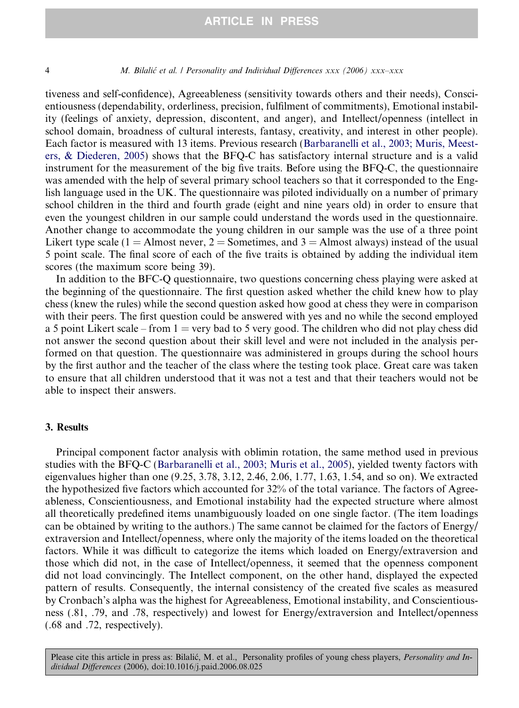#### 4 M. Bilalic´ et al. *| Personality and Individual Differences xxx* (2006) xxx–xxx

tiveness and self-confidence), Agreeableness (sensitivity towards others and their needs), Conscientiousness (dependability, orderliness, precision, fulfilment of commitments), Emotional instability (feelings of anxiety, depression, discontent, and anger), and Intellect/openness (intellect in school domain, broadness of cultural interests, fantasy, creativity, and interest in other people). Each factor is measured with 13 items. Previous research [\(Barbaranelli et al., 2003; Muris, Meest](#page-9-0)[ers, & Diederen, 2005\)](#page-9-0) shows that the BFQ-C has satisfactory internal structure and is a valid instrument for the measurement of the big five traits. Before using the BFQ-C, the questionnaire was amended with the help of several primary school teachers so that it corresponded to the English language used in the UK. The questionnaire was piloted individually on a number of primary school children in the third and fourth grade (eight and nine years old) in order to ensure that even the youngest children in our sample could understand the words used in the questionnaire. Another change to accommodate the young children in our sample was the use of a three point Likert type scale (1 = Almost never, 2 = Sometimes, and 3 = Almost always) instead of the usual 5 point scale. The final score of each of the five traits is obtained by adding the individual item scores (the maximum score being 39).

In addition to the BFC-Q questionnaire, two questions concerning chess playing were asked at the beginning of the questionnaire. The first question asked whether the child knew how to play chess (knew the rules) while the second question asked how good at chess they were in comparison with their peers. The first question could be answered with yes and no while the second employed a 5 point Likert scale – from  $1 =$  very bad to 5 very good. The children who did not play chess did not answer the second question about their skill level and were not included in the analysis performed on that question. The questionnaire was administered in groups during the school hours by the first author and the teacher of the class where the testing took place. Great care was taken to ensure that all children understood that it was not a test and that their teachers would not be able to inspect their answers.

### 3. Results

Principal component factor analysis with oblimin rotation, the same method used in previous studies with the BFQ-C [\(Barbaranelli et al., 2003; Muris et al., 2005](#page-9-0)), yielded twenty factors with eigenvalues higher than one (9.25, 3.78, 3.12, 2.46, 2.06, 1.77, 1.63, 1.54, and so on). We extracted the hypothesized five factors which accounted for 32% of the total variance. The factors of Agreeableness, Conscientiousness, and Emotional instability had the expected structure where almost all theoretically predefined items unambiguously loaded on one single factor. (The item loadings can be obtained by writing to the authors.) The same cannot be claimed for the factors of Energy/ extraversion and Intellect/openness, where only the majority of the items loaded on the theoretical factors. While it was difficult to categorize the items which loaded on Energy/extraversion and those which did not, in the case of Intellect/openness, it seemed that the openness component did not load convincingly. The Intellect component, on the other hand, displayed the expected pattern of results. Consequently, the internal consistency of the created five scales as measured by Cronbach's alpha was the highest for Agreeableness, Emotional instability, and Conscientiousness (.81, .79, and .78, respectively) and lowest for Energy/extraversion and Intellect/openness (.68 and .72, respectively).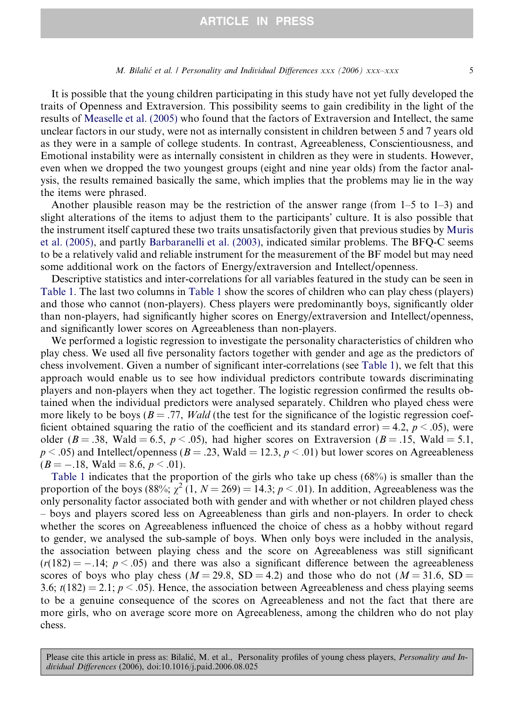#### M. Bilalić et al. / Personality and Individual Differences xxx (2006) xxx–xxx 5

It is possible that the young children participating in this study have not yet fully developed the traits of Openness and Extraversion. This possibility seems to gain credibility in the light of the results of [Measelle et al. \(2005\)](#page-9-0) who found that the factors of Extraversion and Intellect, the same unclear factors in our study, were not as internally consistent in children between 5 and 7 years old as they were in a sample of college students. In contrast, Agreeableness, Conscientiousness, and Emotional instability were as internally consistent in children as they were in students. However, even when we dropped the two youngest groups (eight and nine year olds) from the factor analysis, the results remained basically the same, which implies that the problems may lie in the way the items were phrased.

Another plausible reason may be the restriction of the answer range (from  $1-5$  to  $1-3$ ) and slight alterations of the items to adjust them to the participants' culture. It is also possible that the instrument itself captured these two traits unsatisfactorily given that previous studies by [Muris](#page-9-0) [et al. \(2005\)](#page-9-0), and partly [Barbaranelli et al. \(2003\)](#page-9-0), indicated similar problems. The BFQ-C seems to be a relatively valid and reliable instrument for the measurement of the BF model but may need some additional work on the factors of Energy/extraversion and Intellect/openness.

Descriptive statistics and inter-correlations for all variables featured in the study can be seen in [Table 1](#page-5-0). The last two columns in [Table 1](#page-5-0) show the scores of children who can play chess (players) and those who cannot (non-players). Chess players were predominantly boys, significantly older than non-players, had significantly higher scores on Energy/extraversion and Intellect/openness, and significantly lower scores on Agreeableness than non-players.

We performed a logistic regression to investigate the personality characteristics of children who play chess. We used all five personality factors together with gender and age as the predictors of chess involvement. Given a number of significant inter-correlations (see [Table 1\)](#page-5-0), we felt that this approach would enable us to see how individual predictors contribute towards discriminating players and non-players when they act together. The logistic regression confirmed the results obtained when the individual predictors were analysed separately. Children who played chess were more likely to be boys ( $B = .77$ , *Wald* (the test for the significance of the logistic regression coefficient obtained squaring the ratio of the coefficient and its standard error) = 4.2,  $p < .05$ ), were older ( $B = .38$ , Wald = 6.5,  $p < .05$ ), had higher scores on Extraversion ( $B = .15$ , Wald = 5.1,  $p < .05$ ) and Intellect/openness ( $B = .23$ , Wald = 12.3,  $p < .01$ ) but lower scores on Agreeableness  $(B = -.18, Wald = 8.6, p < .01).$ 

[Table 1](#page-5-0) indicates that the proportion of the girls who take up chess (68%) is smaller than the proportion of the boys (88%;  $\chi^2$  (1, N = 269) = 14.3; p < .01). In addition, Agreeableness was the only personality factor associated both with gender and with whether or not children played chess – boys and players scored less on Agreeableness than girls and non-players. In order to check whether the scores on Agreeableness influenced the choice of chess as a hobby without regard to gender, we analysed the sub-sample of boys. When only boys were included in the analysis, the association between playing chess and the score on Agreeableness was still significant  $(r(182) = -.14; p < .05)$  and there was also a significant difference between the agreeableness scores of boys who play chess ( $M = 29.8$ , SD = 4.2) and those who do not ( $M = 31.6$ , SD = 3.6;  $t(182) = 2.1$ ;  $p < .05$ ). Hence, the association between Agreeableness and chess playing seems to be a genuine consequence of the scores on Agreeableness and not the fact that there are more girls, who on average score more on Agreeableness, among the children who do not play chess.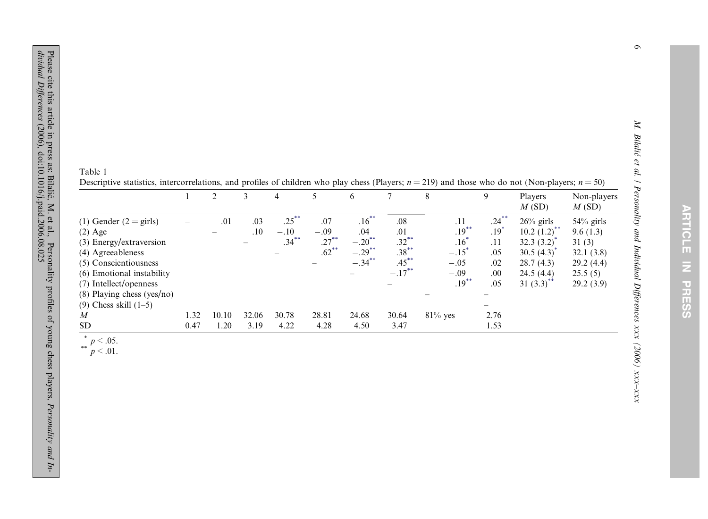Please cite this article in press as: Bilalic´, M. et al., Personality profiles of young chess players,

<span id="page-5-0"></span>Please cite this article in press as: Bilalić, M. et al., Personality profiles of young chess players, Personality and Indiridual Differences (2006), doi:10.1016/j.paid.2006.08.025

(2006), doi:10.1016/j.paid.2006.08.025

dividual Differences

Personality and In-

| Descriptive statistics, intercorrelations, and profiles of children who play chess (Players; $n = 219$ ) and those who do not (Non-players; $n = 50$ ) |  |  |  |  |
|--------------------------------------------------------------------------------------------------------------------------------------------------------|--|--|--|--|
|--------------------------------------------------------------------------------------------------------------------------------------------------------|--|--|--|--|

|                              |      |        |       | 4        |          | 6                    |           | 8                   | 9         | Players<br>M(SD)          | Non-players<br>M(SD) |
|------------------------------|------|--------|-------|----------|----------|----------------------|-----------|---------------------|-----------|---------------------------|----------------------|
| (1) Gender $(2 = girls)$     | -    | $-.01$ | .03   | $.25***$ | .07      | $.16***$             | $-.08$    | $-.11$              | $-.24$ ** | $26\%$ girls              | $54\%$ girls         |
| $(2)$ Age                    |      |        | .10   | $-.10$   | $-.09$   | .04                  | .01       | $.19***$            | $.19*$    | 10.2(1.2)                 | 9.6(1.3)             |
| (3) Energy/extraversion      |      |        |       | $.34***$ | $.27***$ | $-.20$ <sup>**</sup> | $.32***$  | $.16$ <sup>*</sup>  | .11       | 32.3(3.2)                 | 31(3)                |
| (4) Agreeableness            |      |        |       |          | $.62***$ | $-.29***$            | $.38***$  | $-.15$ <sup>*</sup> | .05       | 30.5 $(4.3)$ <sup>2</sup> | 32.1(3.8)            |
| (5) Conscientiousness        |      |        |       |          |          | $-.34***$            | $.45***$  | $-.05$              | .02       | 28.7(4.3)                 | 29.2(4.4)            |
| (6) Emotional instability    |      |        |       |          |          |                      | $-.17***$ | $-.09$              | .00       | 24.5(4.4)                 | 25.5(5)              |
| (7) Intellect/openness       |      |        |       |          |          |                      |           | $.19***$            | .05       | 31 $(3.3)^{^{\circ}}$     | 29.2(3.9)            |
| $(8)$ Playing chess (yes/no) |      |        |       |          |          |                      |           |                     |           |                           |                      |
| $(9)$ Chess skill $(1-5)$    |      |        |       |          |          |                      |           |                     |           |                           |                      |
| $\boldsymbol{M}$             | 1.32 | 10.10  | 32.06 | 30.78    | 28.81    | 24.68                | 30.64     | $81\%$ yes          | 2.76      |                           |                      |
| SD                           | 0.47 | 1.20   | 3.19  | 4.22     | 4.28     | 4.50                 | 3.47      |                     | 1.53      |                           |                      |

\*  $p < .05$ .<br>\*\*  $p < .01$ .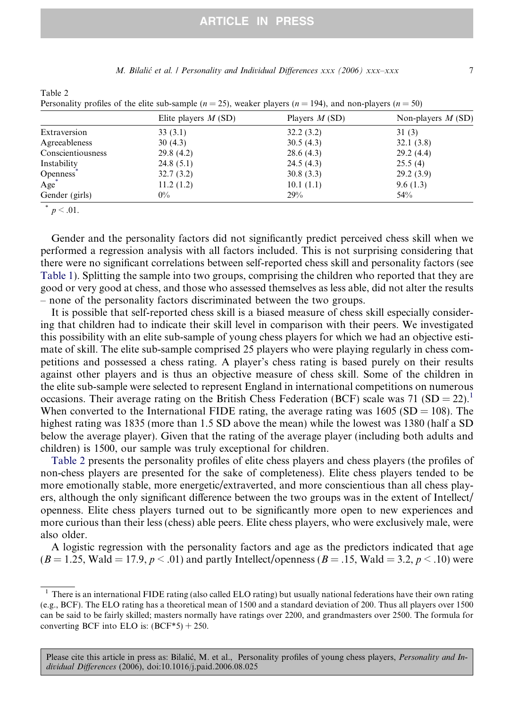|  |  |  | M. Bilalić et al. / Personality and Individual Differences xxx (2006) xxx-xxx |  |  |  |
|--|--|--|-------------------------------------------------------------------------------|--|--|--|
|--|--|--|-------------------------------------------------------------------------------|--|--|--|

|                       | Elite players $M(SD)$ | Players $M(SD)$ | Non-players $M(SD)$ |
|-----------------------|-----------------------|-----------------|---------------------|
| Extraversion          | 33(3.1)               | 32.2(3.2)       | 31(3)               |
| Agreeableness         | 30(4.3)               | 30.5(4.3)       | 32.1(3.8)           |
| Conscientiousness     | 29.8(4.2)             | 28.6(4.3)       | 29.2(4.4)           |
| Instability           | 24.8(5.1)             | 24.5(4.3)       | 25.5(4)             |
| Openness <sup>®</sup> | 32.7(3.2)             | 30.8(3.3)       | 29.2(3.9)           |
| $Age^*$               | 11.2(1.2)             | 10.1(1.1)       | 9.6(1.3)            |
| Gender (girls)        | $0\%$                 | 29%             | 54%                 |
|                       |                       |                 |                     |

Table 2 Personality profiles of the elite sub-sample ( $n = 25$ ), weaker players ( $n = 194$ ), and non-players ( $n = 50$ )

 $p < .01$ .

Gender and the personality factors did not significantly predict perceived chess skill when we performed a regression analysis with all factors included. This is not surprising considering that there were no significant correlations between self-reported chess skill and personality factors (see [Table 1](#page-5-0)). Splitting the sample into two groups, comprising the children who reported that they are good or very good at chess, and those who assessed themselves as less able, did not alter the results – none of the personality factors discriminated between the two groups.

It is possible that self-reported chess skill is a biased measure of chess skill especially considering that children had to indicate their skill level in comparison with their peers. We investigated this possibility with an elite sub-sample of young chess players for which we had an objective estimate of skill. The elite sub-sample comprised 25 players who were playing regularly in chess competitions and possessed a chess rating. A player's chess rating is based purely on their results against other players and is thus an objective measure of chess skill. Some of the children in the elite sub-sample were selected to represent England in international competitions on numerous occasions. Their average rating on the British Chess Federation (BCF) scale was 71 (SD = 22).<sup>1</sup> When converted to the International FIDE rating, the average rating was  $1605 \text{ (SD} = 108)$ . The highest rating was 1835 (more than 1.5 SD above the mean) while the lowest was 1380 (half a SD below the average player). Given that the rating of the average player (including both adults and children) is 1500, our sample was truly exceptional for children.

Table 2 presents the personality profiles of elite chess players and chess players (the profiles of non-chess players are presented for the sake of completeness). Elite chess players tended to be more emotionally stable, more energetic/extraverted, and more conscientious than all chess players, although the only significant difference between the two groups was in the extent of Intellect/ openness. Elite chess players turned out to be significantly more open to new experiences and more curious than their less (chess) able peers. Elite chess players, who were exclusively male, were also older.

A logistic regression with the personality factors and age as the predictors indicated that age  $(B = 1.25, Wald = 17.9, p < .01)$  and partly Intellect/openness  $(B = .15, Wald = 3.2, p < .10)$  were

 $<sup>1</sup>$  There is an international FIDE rating (also called ELO rating) but usually national federations have their own rating</sup> (e.g., BCF). The ELO rating has a theoretical mean of 1500 and a standard deviation of 200. Thus all players over 1500 can be said to be fairly skilled; masters normally have ratings over 2200, and grandmasters over 2500. The formula for converting BCF into ELO is:  $(BCF*5) + 250$ .

Please cite this article in press as: Bilalić, M. et al., Personality profiles of young chess players, Personality and Individual Differences (2006), doi:10.1016/j.paid.2006.08.025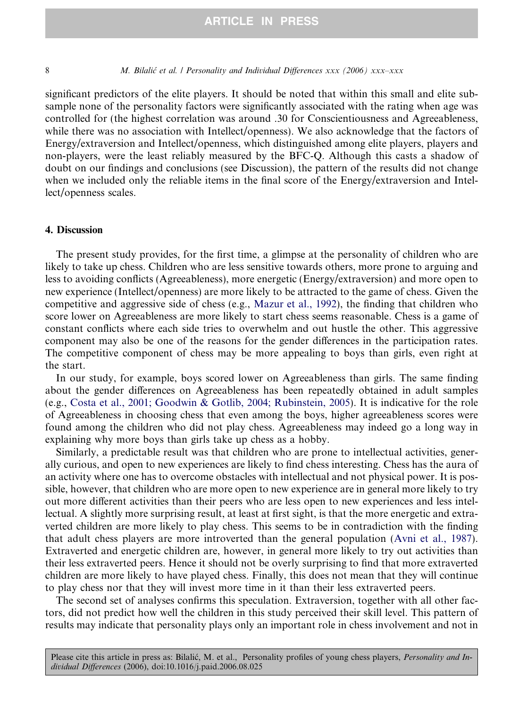#### 8 M. Bilalic´ et al. / Personality and Individual Differences xxx (2006) xxx–xxx

significant predictors of the elite players. It should be noted that within this small and elite subsample none of the personality factors were significantly associated with the rating when age was controlled for (the highest correlation was around .30 for Conscientiousness and Agreeableness, while there was no association with Intellect/openness). We also acknowledge that the factors of Energy/extraversion and Intellect/openness, which distinguished among elite players, players and non-players, were the least reliably measured by the BFC-Q. Although this casts a shadow of doubt on our findings and conclusions (see Discussion), the pattern of the results did not change when we included only the reliable items in the final score of the Energy/extraversion and Intellect/openness scales.

### 4. Discussion

The present study provides, for the first time, a glimpse at the personality of children who are likely to take up chess. Children who are less sensitive towards others, more prone to arguing and less to avoiding conflicts (Agreeableness), more energetic (Energy/extraversion) and more open to new experience (Intellect/openness) are more likely to be attracted to the game of chess. Given the competitive and aggressive side of chess (e.g., [Mazur et al., 1992](#page-9-0)), the finding that children who score lower on Agreeableness are more likely to start chess seems reasonable. Chess is a game of constant conflicts where each side tries to overwhelm and out hustle the other. This aggressive component may also be one of the reasons for the gender differences in the participation rates. The competitive component of chess may be more appealing to boys than girls, even right at the start.

In our study, for example, boys scored lower on Agreeableness than girls. The same finding about the gender differences on Agreeableness has been repeatedly obtained in adult samples (e.g., [Costa et al., 2001; Goodwin & Gotlib, 2004; Rubinstein, 2005](#page-9-0)). It is indicative for the role of Agreeableness in choosing chess that even among the boys, higher agreeableness scores were found among the children who did not play chess. Agreeableness may indeed go a long way in explaining why more boys than girls take up chess as a hobby.

Similarly, a predictable result was that children who are prone to intellectual activities, generally curious, and open to new experiences are likely to find chess interesting. Chess has the aura of an activity where one has to overcome obstacles with intellectual and not physical power. It is possible, however, that children who are more open to new experience are in general more likely to try out more different activities than their peers who are less open to new experiences and less intellectual. A slightly more surprising result, at least at first sight, is that the more energetic and extraverted children are more likely to play chess. This seems to be in contradiction with the finding that adult chess players are more introverted than the general population ([Avni et al., 1987](#page-9-0)). Extraverted and energetic children are, however, in general more likely to try out activities than their less extraverted peers. Hence it should not be overly surprising to find that more extraverted children are more likely to have played chess. Finally, this does not mean that they will continue to play chess nor that they will invest more time in it than their less extraverted peers.

The second set of analyses confirms this speculation. Extraversion, together with all other factors, did not predict how well the children in this study perceived their skill level. This pattern of results may indicate that personality plays only an important role in chess involvement and not in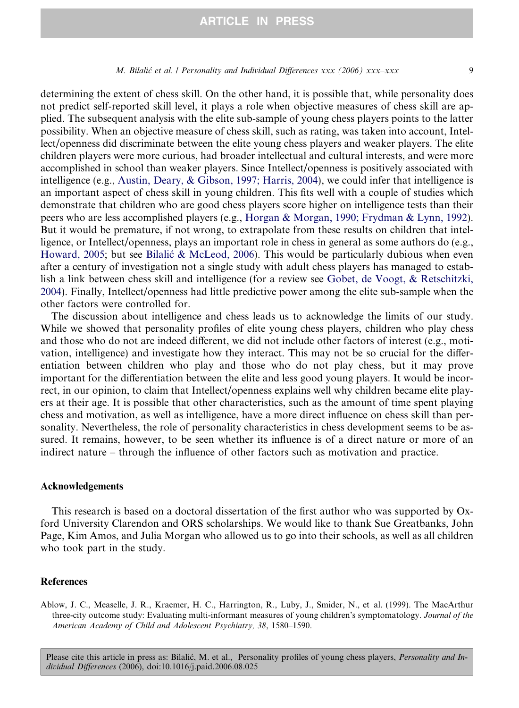#### M. Bilalić et al. / Personality and Individual Differences  $xxx$  (2006)  $xxx$ – $xxx$  9

<span id="page-8-0"></span>determining the extent of chess skill. On the other hand, it is possible that, while personality does not predict self-reported skill level, it plays a role when objective measures of chess skill are applied. The subsequent analysis with the elite sub-sample of young chess players points to the latter possibility. When an objective measure of chess skill, such as rating, was taken into account, Intellect/openness did discriminate between the elite young chess players and weaker players. The elite children players were more curious, had broader intellectual and cultural interests, and were more accomplished in school than weaker players. Since Intellect/openness is positively associated with intelligence (e.g., [Austin, Deary, & Gibson, 1997; Harris, 2004\)](#page-9-0), we could infer that intelligence is an important aspect of chess skill in young children. This fits well with a couple of studies which demonstrate that children who are good chess players score higher on intelligence tests than their peers who are less accomplished players (e.g., [Horgan & Morgan, 1990; Frydman & Lynn, 1992](#page-9-0)). But it would be premature, if not wrong, to extrapolate from these results on children that intelligence, or Intellect/openness, plays an important role in chess in general as some authors do (e.g., [Howard, 2005;](#page-9-0) but see Bilalić [& McLeod, 2006\)](#page-9-0). This would be particularly dubious when even after a century of investigation not a single study with adult chess players has managed to establish a link between chess skill and intelligence (for a review see [Gobet, de Voogt, & Retschitzki,](#page-9-0) [2004](#page-9-0)). Finally, Intellect/openness had little predictive power among the elite sub-sample when the other factors were controlled for.

The discussion about intelligence and chess leads us to acknowledge the limits of our study. While we showed that personality profiles of elite young chess players, children who play chess and those who do not are indeed different, we did not include other factors of interest (e.g., motivation, intelligence) and investigate how they interact. This may not be so crucial for the differentiation between children who play and those who do not play chess, but it may prove important for the differentiation between the elite and less good young players. It would be incorrect, in our opinion, to claim that Intellect/openness explains well why children became elite players at their age. It is possible that other characteristics, such as the amount of time spent playing chess and motivation, as well as intelligence, have a more direct influence on chess skill than personality. Nevertheless, the role of personality characteristics in chess development seems to be assured. It remains, however, to be seen whether its influence is of a direct nature or more of an indirect nature – through the influence of other factors such as motivation and practice.

### Acknowledgements

This research is based on a doctoral dissertation of the first author who was supported by Oxford University Clarendon and ORS scholarships. We would like to thank Sue Greatbanks, John Page, Kim Amos, and Julia Morgan who allowed us to go into their schools, as well as all children who took part in the study.

### References

Ablow, J. C., Measelle, J. R., Kraemer, H. C., Harrington, R., Luby, J., Smider, N., et al. (1999). The MacArthur three-city outcome study: Evaluating multi-informant measures of young children's symptomatology. Journal of the American Academy of Child and Adolescent Psychiatry, 38, 1580–1590.